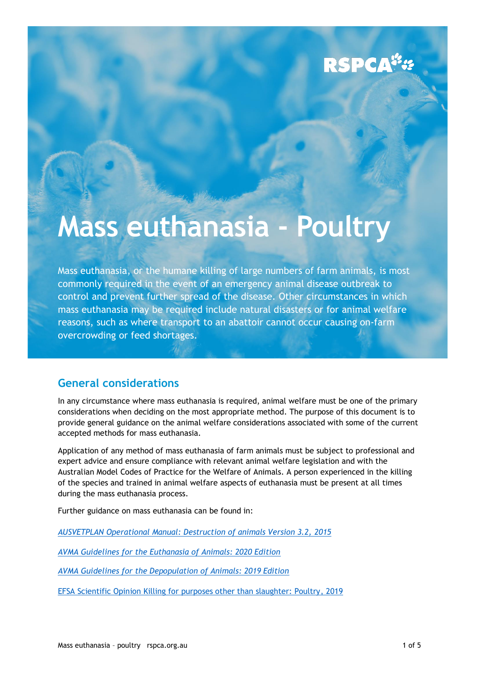### **RSPCA**<sup>"</sup>

## **Mass euthanasia - Poultry**

Mass euthanasia, or the humane killing of large numbers of farm animals, is most commonly required in the event of an emergency animal disease outbreak to control and prevent further spread of the disease. Other circumstances in which mass euthanasia may be required include natural disasters or for animal welfare reasons, such as where transport to an abattoir cannot occur causing on-farm overcrowding or feed shortages.

#### **General considerations**

In any circumstance where mass euthanasia is required, animal welfare must be one of the primary considerations when deciding on the most appropriate method. The purpose of this document is to provide general guidance on the animal welfare considerations associated with some of the current accepted methods for mass euthanasia.

Application of any method of mass euthanasia of farm animals must be subject to professional and expert advice and ensure compliance with relevant animal welfare legislation and with the Australian Model Codes of Practice for the Welfare of Animals. A person experienced in the killing of the species and trained in animal welfare aspects of euthanasia must be present at all times during the mass euthanasia process.

Further guidance on mass euthanasia can be found in:

*[AUSVETPLAN Operational Manual: Destruction of animals Version 3.2,](https://www.agric.wa.gov.au/sites/gateway/files/AUSVETPLAN%20Destruction%20of%20Animals_0.pdf) 2015*

*[AVMA Guidelines for the Euthanasia of Animals: 2020 Edition](https://www.avma.org/sites/default/files/2020-02/Guidelines-on-Euthanasia-2020.pdf)*

*[AVMA Guidelines for the Depopulation of Animals: 2019 Edition](https://www.avma.org/sites/default/files/resources/AVMA-Guidelines-for-the-Depopulation-of-Animals.pdf)*

[EFSA Scientific Opinion Killing for purposes other than slaughter: Poultry, 2019](https://efsa.onlinelibrary.wiley.com/doi/full/10.2903/j.efsa.2019.5850)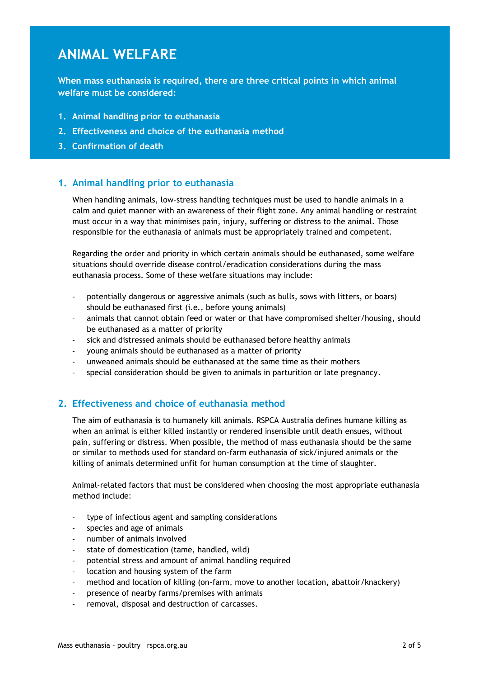### **ANIMAL WELFARE**

**When mass euthanasia is required, there are three critical points in which animal welfare must be considered:** 

- **1. Animal handling prior to euthanasia**
- **2. Effectiveness and choice of the euthanasia method**
- **3. Confirmation of death**

#### **1. Animal handling prior to euthanasia**

When handling animals, low-stress handling techniques must be used to handle animals in a calm and quiet manner with an awareness of their flight zone. Any animal handling or restraint must occur in a way that minimises pain, injury, suffering or distress to the animal. Those responsible for the euthanasia of animals must be appropriately trained and competent.

Regarding the order and priority in which certain animals should be euthanased, some welfare situations should override disease control/eradication considerations during the mass euthanasia process. Some of these welfare situations may include:

- potentially dangerous or aggressive animals (such as bulls, sows with litters, or boars) should be euthanased first (i.e., before young animals)
- animals that cannot obtain feed or water or that have compromised shelter/housing, should be euthanased as a matter of priority
- sick and distressed animals should be euthanased before healthy animals
- young animals should be euthanased as a matter of priority
- unweaned animals should be euthanased at the same time as their mothers
- special consideration should be given to animals in parturition or late pregnancy.

#### **2. Effectiveness and choice of euthanasia method**

The aim of euthanasia is to humanely kill animals. RSPCA Australia defines humane killing as when an animal is either killed instantly or rendered insensible until death ensues, without pain, suffering or distress. When possible, the method of mass euthanasia should be the same or similar to methods used for standard on-farm euthanasia of sick/injured animals or the killing of animals determined unfit for human consumption at the time of slaughter.

Animal-related factors that must be considered when choosing the most appropriate euthanasia method include:

- type of infectious agent and sampling considerations
- species and age of animals
- number of animals involved
- state of domestication (tame, handled, wild)
- potential stress and amount of animal handling required
- location and housing system of the farm
- method and location of killing (on-farm, move to another location, abattoir/knackery)
- presence of nearby farms/premises with animals
- removal, disposal and destruction of carcasses.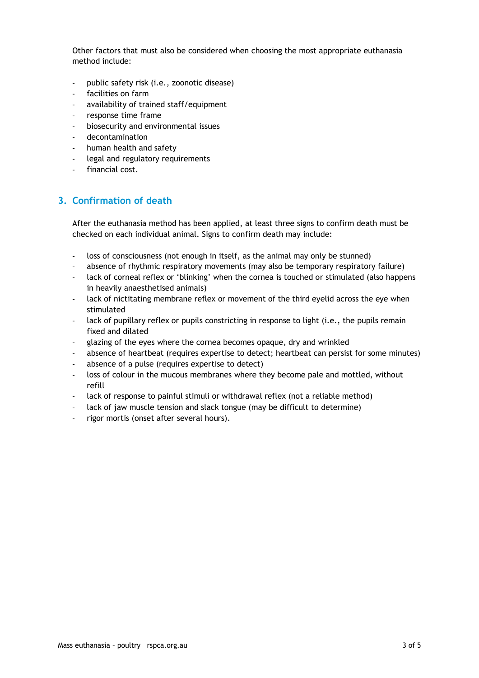Other factors that must also be considered when choosing the most appropriate euthanasia method include:

- public safety risk (i.e., zoonotic disease)
- facilities on farm
- availability of trained staff/equipment
- response time frame
- biosecurity and environmental issues
- decontamination
- human health and safety
- legal and regulatory requirements
- financial cost.

#### **3. Confirmation of death**

After the euthanasia method has been applied, at least three signs to confirm death must be checked on each individual animal. Signs to confirm death may include:

- loss of consciousness (not enough in itself, as the animal may only be stunned)
- absence of rhythmic respiratory movements (may also be temporary respiratory failure)
- lack of corneal reflex or 'blinking' when the cornea is touched or stimulated (also happens in heavily anaesthetised animals)
- lack of nictitating membrane reflex or movement of the third eyelid across the eye when stimulated
- lack of pupillary reflex or pupils constricting in response to light (i.e., the pupils remain fixed and dilated
- glazing of the eyes where the cornea becomes opaque, dry and wrinkled
- absence of heartbeat (requires expertise to detect; heartbeat can persist for some minutes)
- absence of a pulse (requires expertise to detect)
- loss of colour in the mucous membranes where they become pale and mottled, without refill
- lack of response to painful stimuli or withdrawal reflex (not a reliable method)
- lack of jaw muscle tension and slack tongue (may be difficult to determine)
- rigor mortis (onset after several hours).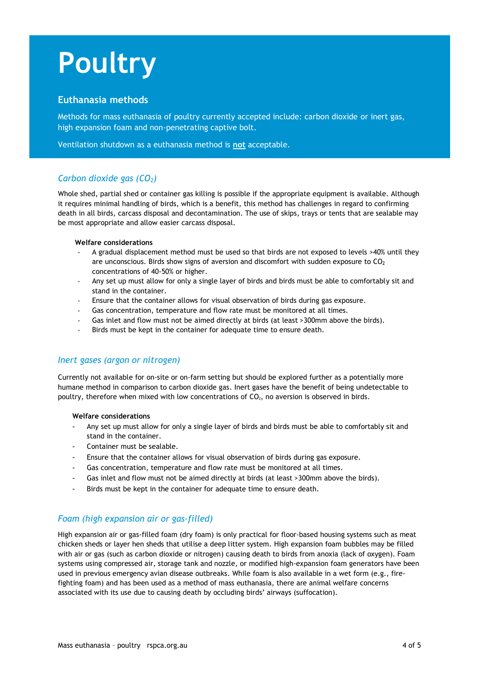# **Poultry**

#### **Euthanasia methods**

Methods for mass euthanasia of poultry currently accepted include: carbon dioxide or inert gas, high expansion foam and non-penetrating captive bolt.

Ventilation shutdown as a euthanasia method is **not** acceptable.

#### *Carbon dioxide gas (CO2)*

Whole shed, partial shed or container gas killing is possible if the appropriate equipment is available. Although it requires minimal handling of birds, which is a benefit, this method has challenges in regard to confirming death in all birds, carcass disposal and decontamination. The use of skips, trays or tents that are sealable may be most appropriate and allow easier carcass disposal.

#### **Welfare considerations**

- A gradual displacement method must be used so that birds are not exposed to levels >40% until they are unconscious. Birds show signs of aversion and discomfort with sudden exposure to  $CO<sub>2</sub>$ concentrations of 40-50% or higher.
- Any set up must allow for only a single layer of birds and birds must be able to comfortably sit and stand in the container.
- Ensure that the container allows for visual observation of birds during gas exposure.
- Gas concentration, temperature and flow rate must be monitored at all times.
- Gas inlet and flow must not be aimed directly at birds (at least >300mm above the birds).
- Birds must be kept in the container for adequate time to ensure death.

#### *Inert gases (argon or nitrogen)*

Currently not available for on-site or on-farm setting but should be explored further as a potentially more humane method in comparison to carbon dioxide gas. Inert gases have the benefit of being undetectable to poultry, therefore when mixed with low concentrations of  $CO<sub>2</sub>$ , no aversion is observed in birds.

#### **Welfare considerations**

- Any set up must allow for only a single layer of birds and birds must be able to comfortably sit and stand in the container.
- Container must be sealable.
- Ensure that the container allows for visual observation of birds during gas exposure.
- Gas concentration, temperature and flow rate must be monitored at all times.
- Gas inlet and flow must not be aimed directly at birds (at least >300mm above the birds).
- Birds must be kept in the container for adequate time to ensure death.

#### *Foam (high expansion air or gas-filled)*

High expansion air or gas-filled foam (dry foam) is only practical for floor-based housing systems such as meat chicken sheds or layer hen sheds that utilise a deep litter system. High expansion foam bubbles may be filled with air or gas (such as carbon dioxide or nitrogen) causing death to birds from anoxia (lack of oxygen). Foam systems using compressed air, storage tank and nozzle, or modified high-expansion foam generators have been used in previous emergency avian disease outbreaks. While foam is also available in a wet form (e.g., firefighting foam) and has been used as a method of mass euthanasia, there are animal welfare concerns associated with its use due to causing death by occluding birds' airways (suffocation).